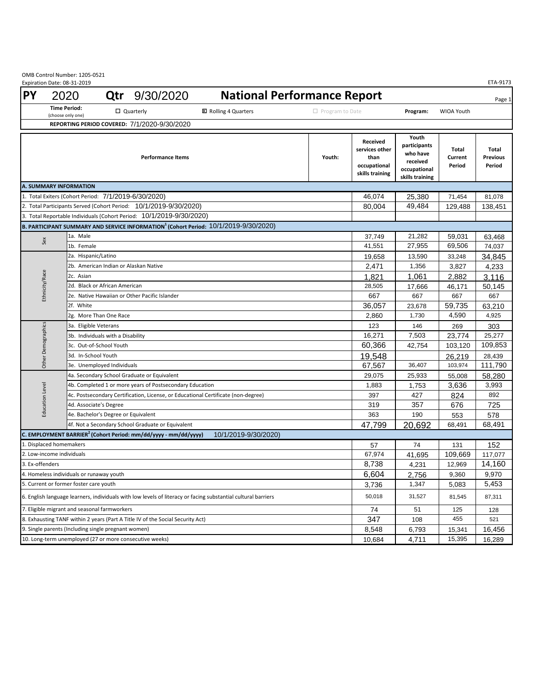OMB Control Number: 1205‐0521

|                                                                                                                           | Expiration Date: 08-31-2019              |                                                                                   |                                                                             |                                                                                                  |                        |                                                                              |                                                                                  |                            | ETA-9173                           |
|---------------------------------------------------------------------------------------------------------------------------|------------------------------------------|-----------------------------------------------------------------------------------|-----------------------------------------------------------------------------|--------------------------------------------------------------------------------------------------|------------------------|------------------------------------------------------------------------------|----------------------------------------------------------------------------------|----------------------------|------------------------------------|
| <b>PY</b>                                                                                                                 | 2020                                     |                                                                                   | <b>Qtr</b> 9/30/2020                                                        | <b>National Performance Report</b>                                                               |                        |                                                                              |                                                                                  |                            | Page 1                             |
|                                                                                                                           | <b>Time Period:</b><br>(choose only one) | □ Quarterly                                                                       |                                                                             | <b>⊠</b> Rolling 4 Quarters                                                                      | $\Box$ Program to Date |                                                                              | Program:                                                                         | <b>WIOA Youth</b>          |                                    |
|                                                                                                                           |                                          |                                                                                   | REPORTING PERIOD COVERED: 7/1/2020-9/30/2020                                |                                                                                                  |                        |                                                                              |                                                                                  |                            |                                    |
|                                                                                                                           |                                          |                                                                                   | <b>Performance Items</b>                                                    |                                                                                                  | Youth:                 | <b>Received</b><br>services other<br>than<br>occupational<br>skills training | Youth<br>participants<br>who have<br>received<br>occupational<br>skills training | Total<br>Current<br>Period | Total<br><b>Previous</b><br>Period |
|                                                                                                                           | <b>A. SUMMARY INFORMATION</b>            |                                                                                   |                                                                             |                                                                                                  |                        | 46.074                                                                       |                                                                                  |                            |                                    |
| 1. Total Exiters (Cohort Period: 7/1/2019-6/30/2020)<br>2. Total Participants Served (Cohort Period: 10/1/2019-9/30/2020) |                                          |                                                                                   |                                                                             |                                                                                                  |                        |                                                                              | 25,380                                                                           | 71,454                     | 81,078                             |
|                                                                                                                           |                                          |                                                                                   |                                                                             | 80,004                                                                                           | 49,484                 | 129,488                                                                      | 138,451                                                                          |                            |                                    |
|                                                                                                                           |                                          |                                                                                   | 3. Total Reportable Individuals (Cohort Period: 10/1/2019-9/30/2020)        |                                                                                                  |                        |                                                                              |                                                                                  |                            |                                    |
|                                                                                                                           |                                          |                                                                                   |                                                                             | B. PARTICIPANT SUMMARY AND SERVICE INFORMATION <sup>1</sup> (Cohort Period: 10/1/2019-9/30/2020) |                        |                                                                              |                                                                                  |                            |                                    |
|                                                                                                                           | 1a. Male<br>Sex                          |                                                                                   |                                                                             |                                                                                                  |                        | 37,749<br>41,551                                                             | 21,282<br>27,955                                                                 | 59,031                     | 63,468                             |
|                                                                                                                           |                                          | 1b. Female<br>2a. Hispanic/Latino                                                 |                                                                             |                                                                                                  |                        |                                                                              |                                                                                  | 69,506                     | 74,037                             |
|                                                                                                                           |                                          |                                                                                   |                                                                             |                                                                                                  |                        | 19,658<br>2,471                                                              | 13,590                                                                           | 33,248                     | 34,845                             |
|                                                                                                                           |                                          | 2b. American Indian or Alaskan Native                                             |                                                                             |                                                                                                  |                        |                                                                              | 1,356                                                                            | 3,827                      | 4,233                              |
|                                                                                                                           |                                          | 2c. Asian<br>2d. Black or African American                                        |                                                                             |                                                                                                  |                        |                                                                              | 1,061                                                                            | 2,882                      | 3.116                              |
|                                                                                                                           | Ethnicity/Race                           | 2e. Native Hawaiian or Other Pacific Islander                                     |                                                                             |                                                                                                  |                        |                                                                              | 17,666<br>667                                                                    | 46,171<br>667              | 50,145<br>667                      |
|                                                                                                                           | 2f. White                                |                                                                                   |                                                                             |                                                                                                  |                        |                                                                              |                                                                                  | 59.735                     | 63,210                             |
|                                                                                                                           |                                          | 2g. More Than One Race                                                            |                                                                             |                                                                                                  |                        |                                                                              |                                                                                  | 4,590                      | 4,925                              |
|                                                                                                                           |                                          | 3a. Eligible Veterans                                                             |                                                                             |                                                                                                  |                        |                                                                              | 1,730<br>146                                                                     | 269                        | 303                                |
|                                                                                                                           | Other Demographics                       | 3b. Individuals with a Disability                                                 |                                                                             |                                                                                                  |                        |                                                                              | 7,503                                                                            | 23,774                     | 25,277                             |
|                                                                                                                           |                                          | 3c. Out-of-School Youth                                                           |                                                                             |                                                                                                  |                        |                                                                              | 42,754                                                                           | 103,120                    | 109,853                            |
|                                                                                                                           |                                          | 3d. In-School Youth                                                               |                                                                             |                                                                                                  |                        |                                                                              |                                                                                  | 26,219                     | 28,439                             |
|                                                                                                                           |                                          | 3e. Unemployed Individuals                                                        |                                                                             |                                                                                                  |                        |                                                                              |                                                                                  | 103,974                    | 111,790                            |
|                                                                                                                           |                                          | 4a. Secondary School Graduate or Equivalent                                       |                                                                             |                                                                                                  |                        |                                                                              |                                                                                  | 55,008                     | 58,280                             |
|                                                                                                                           |                                          |                                                                                   | 4b. Completed 1 or more years of Postsecondary Education                    | 1,883                                                                                            | 1,753                  | 3,636                                                                        | 3,993                                                                            |                            |                                    |
|                                                                                                                           |                                          | 4c. Postsecondary Certification, License, or Educational Certificate (non-degree) |                                                                             |                                                                                                  |                        |                                                                              | 427                                                                              | 824                        | 892                                |
|                                                                                                                           | Education Level                          | 4d. Associate's Degree                                                            |                                                                             |                                                                                                  |                        |                                                                              | 357                                                                              | 676                        | 725                                |
|                                                                                                                           |                                          | 4e. Bachelor's Degree or Equivalent                                               |                                                                             |                                                                                                  |                        |                                                                              | 190                                                                              | 553                        | 578                                |
|                                                                                                                           |                                          | 4f. Not a Secondary School Graduate or Equivalent                                 |                                                                             |                                                                                                  |                        |                                                                              |                                                                                  | 68,491                     | 68,491                             |
|                                                                                                                           |                                          |                                                                                   | C. EMPLOYMENT BARRIER <sup>2</sup> (Cohort Period: mm/dd/yyyy - mm/dd/yyyy) | 10/1/2019-9/30/2020)                                                                             |                        |                                                                              |                                                                                  |                            |                                    |
|                                                                                                                           | 1. Displaced homemakers                  |                                                                                   |                                                                             |                                                                                                  |                        |                                                                              | 74                                                                               | 131                        | 152                                |
| 2. Low-income individuals                                                                                                 |                                          |                                                                                   |                                                                             |                                                                                                  |                        | 67,974                                                                       | 41.695                                                                           | 109.669                    | 117,077                            |
| 3. Ex-offenders                                                                                                           |                                          |                                                                                   |                                                                             |                                                                                                  |                        | 8,738                                                                        | 4,231                                                                            | 12,969                     | 14,160                             |
| 4. Homeless individuals or runaway youth                                                                                  |                                          |                                                                                   |                                                                             |                                                                                                  |                        | 6,604                                                                        | 2,756                                                                            | 9,360                      | 9,970                              |
| 5. Current or former foster care youth                                                                                    |                                          |                                                                                   |                                                                             |                                                                                                  |                        | 3,736                                                                        | 1,347                                                                            | 5,083                      | 5,453                              |
| 6. English language learners, individuals with low levels of literacy or facing substantial cultural barriers             |                                          |                                                                                   |                                                                             |                                                                                                  |                        | 50,018<br>74                                                                 | 31,527                                                                           | 81,545                     | 87,311                             |
| 7. Eligible migrant and seasonal farmworkers                                                                              |                                          |                                                                                   |                                                                             |                                                                                                  |                        |                                                                              | 51                                                                               | 125                        | 128                                |
| 8. Exhausting TANF within 2 years (Part A Title IV of the Social Security Act)                                            |                                          |                                                                                   |                                                                             |                                                                                                  |                        |                                                                              | 108                                                                              | 455                        | 521                                |
| 9. Single parents (Including single pregnant women)                                                                       |                                          |                                                                                   |                                                                             |                                                                                                  |                        |                                                                              | 6,793                                                                            | 15,341                     | 16,456                             |
| 10. Long-term unemployed (27 or more consecutive weeks)                                                                   |                                          |                                                                                   |                                                                             |                                                                                                  |                        |                                                                              | 4,711                                                                            | 15,395                     | 16,289                             |